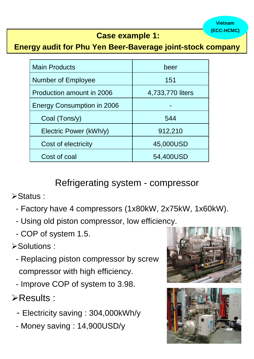| <b>Main Products</b>              | beer             |  |
|-----------------------------------|------------------|--|
| <b>Number of Employee</b>         | 151              |  |
| Production amount in 2006         | 4,733,770 liters |  |
| <b>Energy Consumption in 2006</b> |                  |  |
| Coal (Tons/y)                     | 544              |  |
| Electric Power (kWh/y)            | 912,210          |  |
| Cost of electricity               | 45,000USD        |  |
| Cost of coal                      | 54,400USD        |  |

## **Case example 1:**

**Energy audit for Phu Yen Beer-Baverage joint-stock company**

# Refrigerating system - compressor

¾Status :

- Factory have 4 compressors (1x80kW, 2x75kW, 1x60kW).
- Using old piston compressor, low efficiency.
- COP of system 1.5.

# ¾Solutions :

- Replacing piston compressor by screw



compressor with high efficiency.

- Improve COP of system to 3.98.

¾Results :

- Electricity saving : 304,000kWh/y
- Money saving : 14,900USD/y



**Vietnam (ECC-HCMC)**